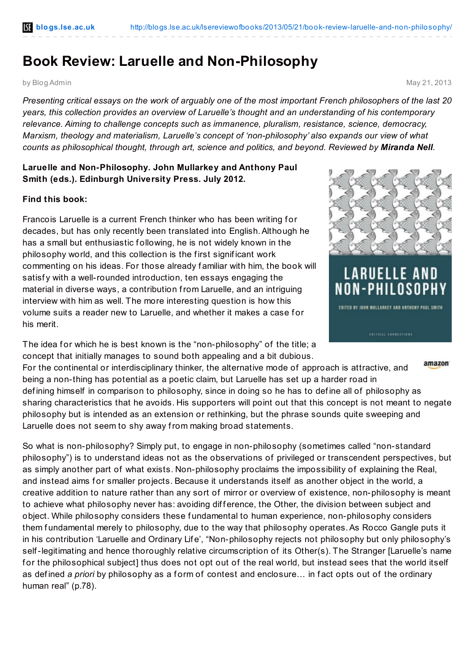## **Book Review: Laruelle and Non-Philosophy**

by Blog Admin May 21, 2013

Presenting critical essays on the work of arguably one of the most important French philosophers of the last 20 *years, this collection provides an overview of Laruelle's thought and an understanding of his contemporary relevance. Aiming to challenge concepts such as immanence, pluralism, resistance, science, democracy, Marxism, theology and materialism, Laruelle's concept of 'non-philosophy' also expands our view of what counts as philosophical thought, through art, science and politics, and beyond. Reviewed by Miranda Nell.*

## **Laruelle and Non-Philosophy***.* **John Mullarkey and Anthony Paul Smith (eds.). Edinburgh University Press. July 2012.**

## **Find this book:**

Francois Laruelle is a current French thinker who has been writing for decades, but has only recently been translated into English.Although he has a small but enthusiastic following, he is not widely known in the philosophy world, and this collection is the f irst signif icant work commenting on his ideas. For those already f amiliar with him, the book will satisfy with a well-rounded introduction, ten essays engaging the material in diverse ways, a contribution from Laruelle, and an intriguing interview with him as well. The more interesting question is how this volume suits a reader new to Laruelle, and whether it makes a case f or his merit.

The idea for which he is best known is the "non-philosophy" of the title; a concept that initially manages to sound both appealing and a bit dubious.



amazon

For the continental or interdisciplinary thinker, the alternative mode of approach is attractive, and being a non-thing has potential as a poetic claim, but Laruelle has set up a harder road in def ining himself in comparison to philosophy, since in doing so he has to def ine all of philosophy as sharing characteristics that he avoids. His supporters will point out that this concept is not meant to negate philosophy but is intended as an extension or rethinking, but the phrase sounds quite sweeping and Laruelle does not seem to shy away from making broad statements.

So what is non-philosophy? Simply put, to engage in non-philosophy (sometimes called "non-standard philosophy") is to understand ideas not as the observations of privileged or transcendent perspectives, but as simply another part of what exists. Non-philosophy proclaims the impossibility of explaining the Real, and instead aims for smaller projects. Because it understands itself as another object in the world, a creative addition to nature rather than any sort of mirror or overview of existence, non-philosophy is meant to achieve what philosophy never has: avoiding difference, the Other, the division between subject and object. While philosophy considers these f undamental to human experience, non-philosophy considers them fundamental merely to philosophy, due to the way that philosophy operates. As Rocco Gangle puts it in his contribution 'Laruelle and Ordinary Lif e', "Non-philosophy rejects not philosophy but only philosophy's self-legitimating and hence thoroughly relative circumscription of its Other(s). The Stranger [Laruelle's name for the philosophical subject] thus does not opt out of the real world, but instead sees that the world itself as defined *a priori* by philosophy as a form of contest and enclosure... in fact opts out of the ordinary human real" (p.78).